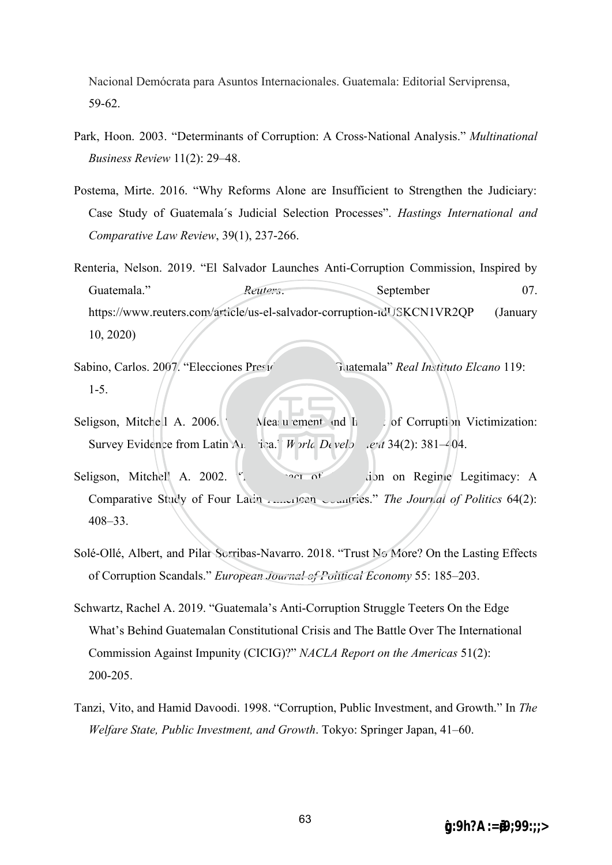Nacional Demócrata para Asuntos Internacionales. Guatemala: Editorial Serviprensa, 59-62.

- Park, Hoon. 2003. "Determinants of Corruption: A Cross -National Analysis." *Multinational Business Review* 11(2): 29–48.
- Postema, Mirte. 2016. "Why Reforms Alone are Insufficient to Strengthen the Judiciary: Case Study of Guatemala´s Judicial Selection Processes". *Hastings International and Comparative Law Review*, 39(1), 237-266.
- https://www.reuters.com/article/us-el-salvador-corruption-idUSKCN1VR2QP (January<br>10, 2020) Renteria, Nelson. 2019. "El Salvador Launches Anti-Corruption Commission, Inspired by Guatemala." *Reuters*. September 07. 10, 2020)
- Sabino, Carlos. 2007. "Elecciones Presidenciales" *Guatemala" Real Instituto Elcano* 119: 1-5.
- Survey Evidence from Latin A<sub>n</sub> ica." *World Develo ext* 34(2): 381–404. 2006.<br>m Lat . of Corruption Victimization:<br>  $ee^{it}$  34(2): 381–404. Seligson, Mitchell A. 2006. "The Measurement and Impact of Corruption Victimization:
- $\leq$ <sup>a</sup>t<sup>i</sup>ona<sup>l</sup> <sup>C</sup>hengch<sup>i</sup> <sup>U</sup>nivers<sup>i</sup>t<sup>y</sup> Seligson, Mitchell A. 2002. "In the Impact of Corruption on Regime Legitimacy: A Comparative Study of Four Latin American Countries." *The Journal of Politics 64(2)*: 408–33. 2002.<br>
Sector Chengchi University The Journal Chengchi University The Journal Chengchi University Trust No More?
- Solé-Ollé, Albert, and Pilar Sorribas-Navarro. 2018. "Trust No More? On the Lasting Effects of Corruption Scandals." *European Journal of Political Economy* 55: 185–203.
- Schwartz, Rachel A. 2019. "Guatemala's Anti-Corruption Struggle Teeters On the Edge What's Behind Guatemalan Constitutional Crisis and The Battle Over The International Commission Against Impunity (CICIG)?" *NACLA Report on the Americas* 51(2): 200-205.
- Tanzi, Vito, and Hamid Davoodi. 1998. "Corruption, Public Investment, and Growth." In *The Welfare State, Public Investment, and Growth*. Tokyo: Springer Japan, 41–60.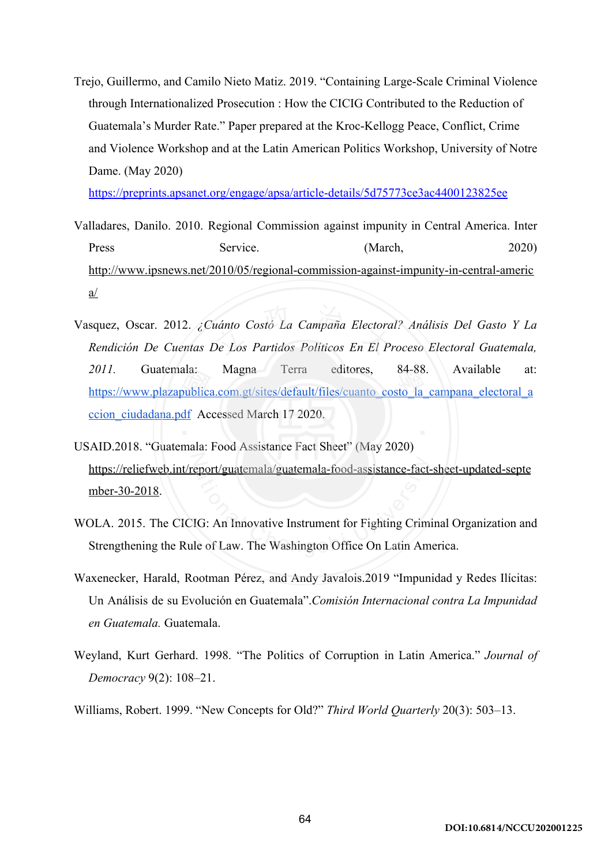Trejo, Guillermo, and Camilo Nieto Matiz. 2019. "Containing Large-Scale Criminal Violence through Internationalized Prosecution : How the CICIG Contributed to the Reduction of Guatemala's Murder Rate." Paper prepared at the Kroc-Kellogg Peace, Conflict, Crime and Violence Workshop and at the Latin American Politics Workshop, University of Notre Dame. (May 2020)

<https://preprints.apsanet.org/engage/apsa/article-details/5d75773ce3ac4400123825ee>

- Valladares, Danilo. 2010. Regional Commission against impunity in Central America. Inter Press Service. (March, 2020) [http://www.ipsnews.net/2010/05/regional-commission-against-impunity-in-central-americ](http://www.ipsnews.net/2010/05/regional-commission-against-impunity-in-central-america/) [a/](http://www.ipsnews.net/2010/05/regional-commission-against-impunity-in-central-america/)
- [https://www.plazapublica.com.gt/sites/default/files/cuanto\\_costo\\_la\\_campana\\_electoral\\_a](https://www.plazapublica.com.gt/sites/default/files/cuanto_costo_la_campana_electoral_accion_ciudadana.pdf)<br>ccion\_ciudadana.pdf Accessed March 17 2020.<br>AID 2018 "Guatemala: Food Assistance Fact Sheet" (May 2020) ínto Costó La Campaña Electora.<br>? Los Partidos Políticos En El Pr Vasquez, Oscar. 2012. *¿Cuánto Costó La Campaña Electoral? Análisis Del Gasto Y La*  squez, Oscar. 2012. ¿Cuánto Costó La Campaña Electoral? Análisis Del Gasto Y La<br>Rendición De Cuentas De Los Partidos Políticos En El Proceso Electoral Guatemala, *2011.* Guatemala: Magna Terra editores, 84-88. Available at: [ccion\\_ciudadana.pdf](https://www.plazapublica.com.gt/sites/default/files/cuanto_costo_la_campana_electoral_accion_ciudadana.pdf) Accessed March 17 2020. ala: Magna Terra editores, 84-88<br>
<u>bublica.com.gt/sites/default/files/cuanto\_costo\_la\_</u><br>
df Accessed March 17 2020.
- [https://reliefweb.int/report/guatemala/guatemala-food-assistance-fact-sheet-updated-septe](https://reliefweb.int/report/guatemala/guatemala-food-assistance-fact-sheet-updated-september-30-2018)<br>mber-30-2018.<br>OLA. 2015. The CICIG: An Innovative Instrument for Fighting Criminal Organization and<br>Strengthening the Rule of Law. T USAID.2018. "Guatemala: Food Assistance Fact Sheet" (May 2020) [mber-30-2018](https://reliefweb.int/report/guatemala/guatemala-food-assistance-fact-sheet-updated-september-30-2018).
- WOLA. 2015. The CICIG: An Innovative Instrument for Fighting Criminal Organization and Strengthening the Rule of Law. The Washington Office On Latin America.
- Waxenecker, Harald, Rootman Pérez, and Andy Javalois.2019 "Impunidad y Redes Ilícitas: Un Análisis de su Evolución en Guatemala". *Comisión Internacional contra La Impunidad en Guatemala.* Guatemala.
- Weyland, Kurt Gerhard. 1998. "The Politics of Corruption in Latin America." *Journal of Democracy* 9(2): 108–21.

Williams, Robert. 1999. "New Concepts for Old?" *Third World Quarterly* 20(3): 503–13.